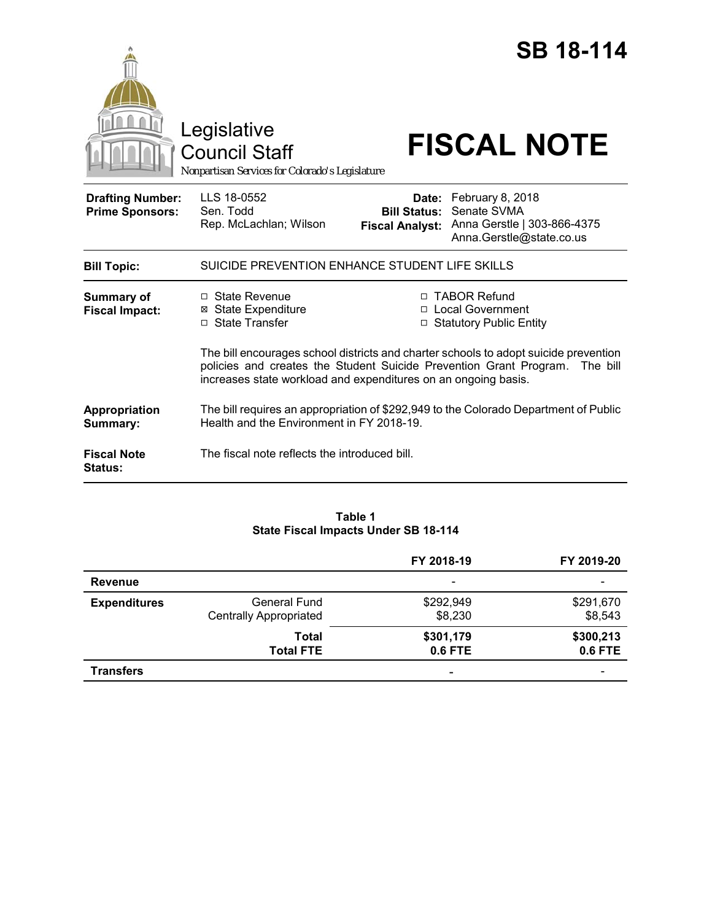|                                                   | Legislative<br><b>Council Staff</b><br>Nonpartisan Services for Colorado's Legislature                                                                                                                                                |                                               | <b>SB 18-114</b><br><b>FISCAL NOTE</b>                                                           |
|---------------------------------------------------|---------------------------------------------------------------------------------------------------------------------------------------------------------------------------------------------------------------------------------------|-----------------------------------------------|--------------------------------------------------------------------------------------------------|
| <b>Drafting Number:</b><br><b>Prime Sponsors:</b> | LLS 18-0552<br>Sen. Todd<br>Rep. McLachlan; Wilson                                                                                                                                                                                    | <b>Bill Status:</b><br><b>Fiscal Analyst:</b> | Date: February 8, 2018<br>Senate SVMA<br>Anna Gerstle   303-866-4375<br>Anna.Gerstle@state.co.us |
| <b>Bill Topic:</b>                                | SUICIDE PREVENTION ENHANCE STUDENT LIFE SKILLS                                                                                                                                                                                        |                                               |                                                                                                  |
| <b>Summary of</b><br><b>Fiscal Impact:</b>        | □ State Revenue<br><b>⊠ State Expenditure</b><br>□ State Transfer                                                                                                                                                                     |                                               | □ TABOR Refund<br>□ Local Government<br>□ Statutory Public Entity                                |
|                                                   | The bill encourages school districts and charter schools to adopt suicide prevention<br>policies and creates the Student Suicide Prevention Grant Program. The bill<br>increases state workload and expenditures on an ongoing basis. |                                               |                                                                                                  |
| Appropriation<br>Summary:                         | The bill requires an appropriation of \$292,949 to the Colorado Department of Public<br>Health and the Environment in FY 2018-19.                                                                                                     |                                               |                                                                                                  |
| <b>Fiscal Note</b><br>Status:                     | The fiscal note reflects the introduced bill.                                                                                                                                                                                         |                                               |                                                                                                  |

# **Table 1 State Fiscal Impacts Under SB 18-114**

|                     |                                                      | FY 2018-19               | FY 2019-20           |
|---------------------|------------------------------------------------------|--------------------------|----------------------|
| Revenue             |                                                      | $\overline{\phantom{a}}$ |                      |
| <b>Expenditures</b> | <b>General Fund</b><br><b>Centrally Appropriated</b> | \$292,949<br>\$8,230     | \$291,670<br>\$8,543 |
|                     | Total<br><b>Total FTE</b>                            | \$301,179<br>0.6 FTE     | \$300,213<br>0.6 FTE |
| <b>Transfers</b>    |                                                      | ٠                        |                      |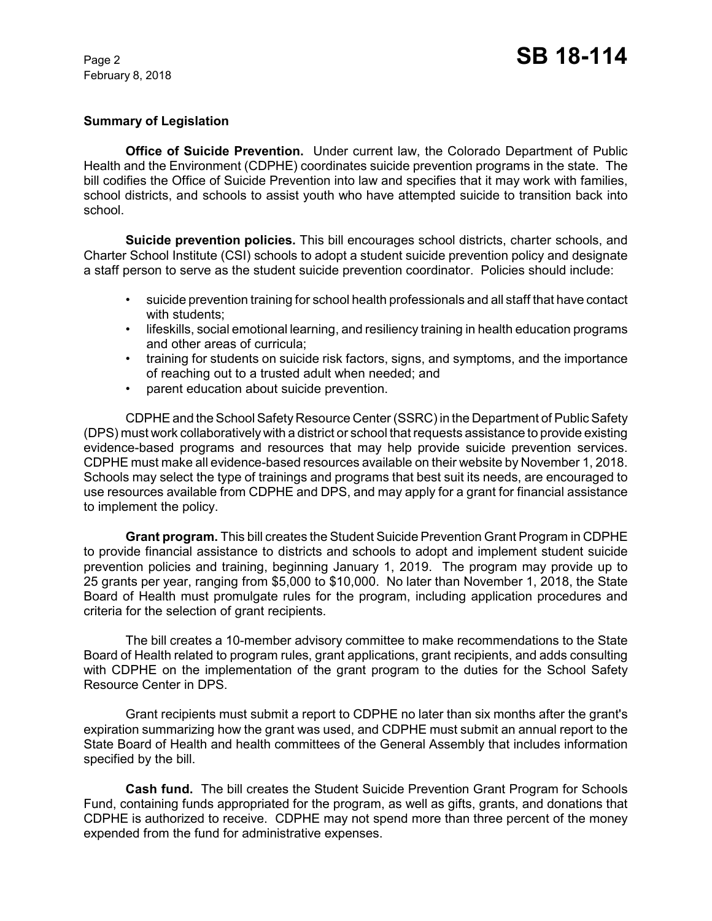# **Summary of Legislation**

**Office of Suicide Prevention.** Under current law, the Colorado Department of Public Health and the Environment (CDPHE) coordinates suicide prevention programs in the state. The bill codifies the Office of Suicide Prevention into law and specifies that it may work with families, school districts, and schools to assist youth who have attempted suicide to transition back into school.

**Suicide prevention policies.** This bill encourages school districts, charter schools, and Charter School Institute (CSI) schools to adopt a student suicide prevention policy and designate a staff person to serve as the student suicide prevention coordinator. Policies should include:

- suicide prevention training for school health professionals and all staff that have contact with students;
- lifeskills, social emotional learning, and resiliency training in health education programs and other areas of curricula;
- training for students on suicide risk factors, signs, and symptoms, and the importance of reaching out to a trusted adult when needed; and
- parent education about suicide prevention.

CDPHE and the School Safety Resource Center (SSRC) in the Department of Public Safety (DPS) must work collaboratively with a district or school that requests assistance to provide existing evidence-based programs and resources that may help provide suicide prevention services. CDPHE must make all evidence-based resources available on their website by November 1, 2018. Schools may select the type of trainings and programs that best suit its needs, are encouraged to use resources available from CDPHE and DPS, and may apply for a grant for financial assistance to implement the policy.

**Grant program.** This bill creates the Student Suicide Prevention Grant Program in CDPHE to provide financial assistance to districts and schools to adopt and implement student suicide prevention policies and training, beginning January 1, 2019. The program may provide up to 25 grants per year, ranging from \$5,000 to \$10,000. No later than November 1, 2018, the State Board of Health must promulgate rules for the program, including application procedures and criteria for the selection of grant recipients.

The bill creates a 10-member advisory committee to make recommendations to the State Board of Health related to program rules, grant applications, grant recipients, and adds consulting with CDPHE on the implementation of the grant program to the duties for the School Safety Resource Center in DPS.

Grant recipients must submit a report to CDPHE no later than six months after the grant's expiration summarizing how the grant was used, and CDPHE must submit an annual report to the State Board of Health and health committees of the General Assembly that includes information specified by the bill.

**Cash fund.** The bill creates the Student Suicide Prevention Grant Program for Schools Fund, containing funds appropriated for the program, as well as gifts, grants, and donations that CDPHE is authorized to receive. CDPHE may not spend more than three percent of the money expended from the fund for administrative expenses.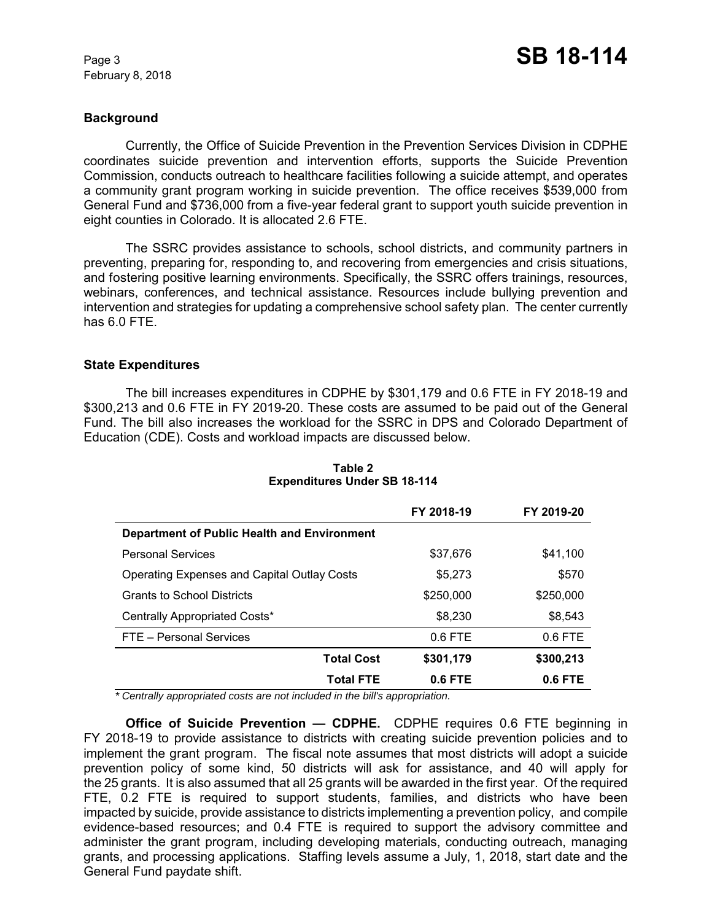## **Background**

Currently, the Office of Suicide Prevention in the Prevention Services Division in CDPHE coordinates suicide prevention and intervention efforts, supports the Suicide Prevention Commission, conducts outreach to healthcare facilities following a suicide attempt, and operates a community grant program working in suicide prevention. The office receives \$539,000 from General Fund and \$736,000 from a five-year federal grant to support youth suicide prevention in eight counties in Colorado. It is allocated 2.6 FTE.

The SSRC provides assistance to schools, school districts, and community partners in preventing, preparing for, responding to, and recovering from emergencies and crisis situations, and fostering positive learning environments. Specifically, the SSRC offers trainings, resources, webinars, conferences, and technical assistance. Resources include bullying prevention and intervention and strategies for updating a comprehensive school safety plan. The center currently has 6.0 FTE.

# **State Expenditures**

The bill increases expenditures in CDPHE by \$301,179 and 0.6 FTE in FY 2018-19 and \$300,213 and 0.6 FTE in FY 2019-20. These costs are assumed to be paid out of the General Fund. The bill also increases the workload for the SSRC in DPS and Colorado Department of Education (CDE). Costs and workload impacts are discussed below.

|                                                    | FY 2018-19 | FY 2019-20 |
|----------------------------------------------------|------------|------------|
| Department of Public Health and Environment        |            |            |
| <b>Personal Services</b>                           | \$37,676   | \$41,100   |
| <b>Operating Expenses and Capital Outlay Costs</b> | \$5,273    | \$570      |
| <b>Grants to School Districts</b>                  | \$250,000  | \$250,000  |
| Centrally Appropriated Costs*                      | \$8,230    | \$8,543    |
| FTE - Personal Services                            | $0.6$ FTE  | $0.6$ FTE  |
| <b>Total Cost</b>                                  | \$301,179  | \$300,213  |
| <b>Total FTE</b>                                   | $0.6$ FTE  | $0.6$ FTE  |

#### **Table 2 Expenditures Under SB 18-114**

 *\* Centrally appropriated costs are not included in the bill's appropriation.*

**Office of Suicide Prevention — CDPHE.** CDPHE requires 0.6 FTE beginning in FY 2018-19 to provide assistance to districts with creating suicide prevention policies and to implement the grant program. The fiscal note assumes that most districts will adopt a suicide prevention policy of some kind, 50 districts will ask for assistance, and 40 will apply for the 25 grants. It is also assumed that all 25 grants will be awarded in the first year. Of the required FTE, 0.2 FTE is required to support students, families, and districts who have been impacted by suicide, provide assistance to districts implementing a prevention policy, and compile evidence-based resources; and 0.4 FTE is required to support the advisory committee and administer the grant program, including developing materials, conducting outreach, managing grants, and processing applications. Staffing levels assume a July, 1, 2018, start date and the General Fund paydate shift.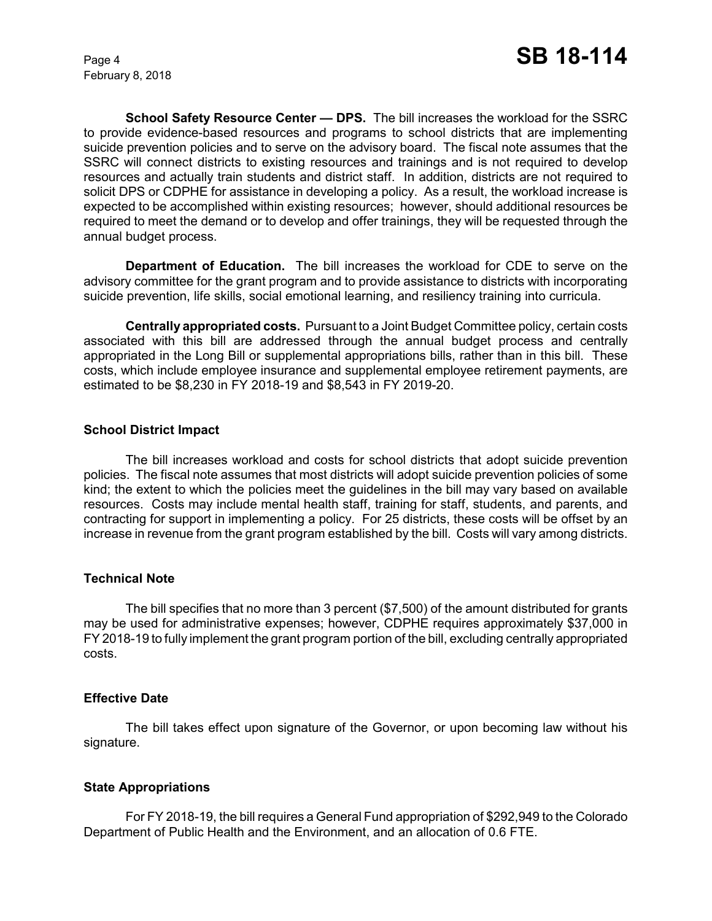**School Safety Resource Center — DPS.** The bill increases the workload for the SSRC to provide evidence-based resources and programs to school districts that are implementing suicide prevention policies and to serve on the advisory board. The fiscal note assumes that the SSRC will connect districts to existing resources and trainings and is not required to develop resources and actually train students and district staff. In addition, districts are not required to solicit DPS or CDPHE for assistance in developing a policy. As a result, the workload increase is expected to be accomplished within existing resources; however, should additional resources be required to meet the demand or to develop and offer trainings, they will be requested through the annual budget process.

**Department of Education.** The bill increases the workload for CDE to serve on the advisory committee for the grant program and to provide assistance to districts with incorporating suicide prevention, life skills, social emotional learning, and resiliency training into curricula.

**Centrally appropriated costs.** Pursuant to a Joint Budget Committee policy, certain costs associated with this bill are addressed through the annual budget process and centrally appropriated in the Long Bill or supplemental appropriations bills, rather than in this bill. These costs, which include employee insurance and supplemental employee retirement payments, are estimated to be \$8,230 in FY 2018-19 and \$8,543 in FY 2019-20.

#### **School District Impact**

The bill increases workload and costs for school districts that adopt suicide prevention policies. The fiscal note assumes that most districts will adopt suicide prevention policies of some kind; the extent to which the policies meet the guidelines in the bill may vary based on available resources. Costs may include mental health staff, training for staff, students, and parents, and contracting for support in implementing a policy. For 25 districts, these costs will be offset by an increase in revenue from the grant program established by the bill. Costs will vary among districts.

#### **Technical Note**

The bill specifies that no more than 3 percent (\$7,500) of the amount distributed for grants may be used for administrative expenses; however, CDPHE requires approximately \$37,000 in FY 2018-19 to fully implement the grant program portion of the bill, excluding centrally appropriated costs.

#### **Effective Date**

The bill takes effect upon signature of the Governor, or upon becoming law without his signature.

# **State Appropriations**

For FY 2018-19, the bill requires a General Fund appropriation of \$292,949 to the Colorado Department of Public Health and the Environment, and an allocation of 0.6 FTE.